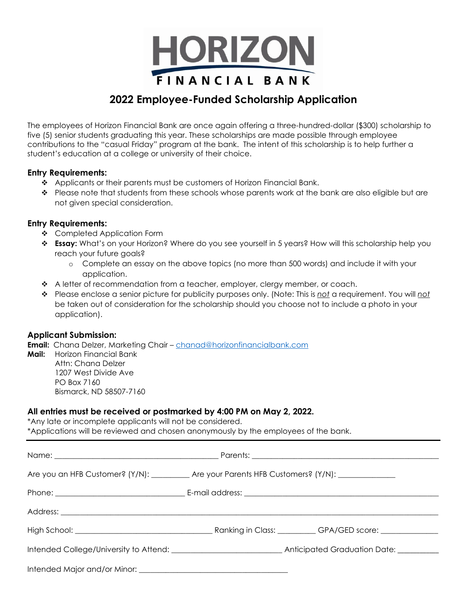

# **2022 Employee-Funded Scholarship Application**

The employees of Horizon Financial Bank are once again offering a three-hundred-dollar (\$300) scholarship to five (5) senior students graduating this year. These scholarships are made possible through employee contributions to the "casual Friday" program at the bank. The intent of this scholarship is to help further a student's education at a college or university of their choice.

#### **Entry Requirements:**

- $\triangle$  Applicants or their parents must be customers of Horizon Financial Bank.
- $\bullet$  Please note that students from these schools whose parents work at the bank are also eligible but are not given special consideration.

#### **Entry Requirements:**

- ❖ Completed Application Form
- **↑ Essay:** What's on your Horizon? Where do you see yourself in 5 years? How will this scholarship help you reach your future goals?
	- o Complete an essay on the above topics (no more than 500 words) and include it with your application.
- $\triangle$  A letter of recommendation from a teacher, employer, clergy member, or coach.
- Please enclose a senior picture for publicity purposes only. (Note: This is *not* a requirement. You will *not* be taken out of consideration for the scholarship should you choose not to include a photo in your application).

### **Applicant Submission:**

**Email:** Chana Delzer, Marketing Chair – [chanad@horizonfinancialbank.com](mailto:chanad@horizonfinancialbank.com)

**Mail:** Horizon Financial Bank Attn: Chana Delzer 1207 West Divide Ave PO Box 7160 Bismarck, ND 58507-7160

## **All entries must be received or postmarked by 4:00 PM on May 2, 2022.**

\*Any late or incomplete applicants will not be considered. \*Applications will be reviewed and chosen anonymously by the employees of the bank.

| Are you an HFB Customer? (Y/N): __________ Are your Parents HFB Customers? (Y/N): _________________ |
|-----------------------------------------------------------------------------------------------------|
|                                                                                                     |
|                                                                                                     |
|                                                                                                     |
|                                                                                                     |
|                                                                                                     |